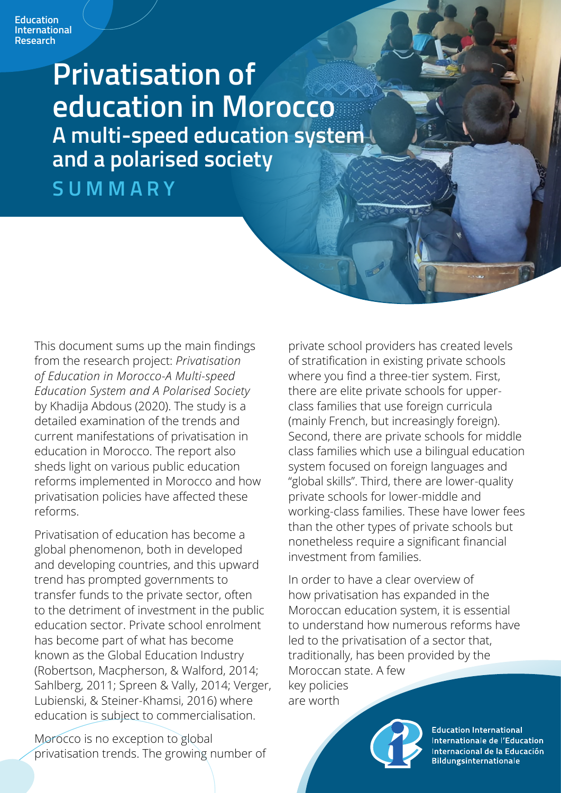# **Privatisation of education in Morocco A multi-speed education system and a polarised society**

**SUMMARY**

This document sums up the main findings from the research project: *Privatisation of Education in Morocco-A Multi-speed Education System and A Polarised Society* by Khadija Abdous (2020). The study is a detailed examination of the trends and current manifestations of privatisation in education in Morocco. The report also sheds light on various public education reforms implemented in Morocco and how privatisation policies have affected these reforms.

Privatisation of education has become a global phenomenon, both in developed and developing countries, and this upward trend has prompted governments to transfer funds to the private sector, often to the detriment of investment in the public education sector. Private school enrolment has become part of what has become known as the Global Education Industry (Robertson, Macpherson, & Walford, 2014; Sahlberg, 2011; Spreen & Vally, 2014; Verger, Lubienski, & Steiner-Khamsi, 2016) where education is subject to commercialisation.

Morocco is no exception to global privatisation trends. The growing number of private school providers has created levels of stratification in existing private schools where you find a three-tier system. First, there are elite private schools for upperclass families that use foreign curricula (mainly French, but increasingly foreign). Second, there are private schools for middle class families which use a bilingual education system focused on foreign languages and "global skills". Third, there are lower-quality private schools for lower-middle and working-class families. These have lower fees than the other types of private schools but nonetheless require a significant financial investment from families.

In order to have a clear overview of how privatisation has expanded in the Moroccan education system, it is essential to understand how numerous reforms have led to the privatisation of a sector that, traditionally, has been provided by the Moroccan state. A few key policies are worth

**Education International** Internationale de l'Education Internacional de la Educación **Bildungsinternationale**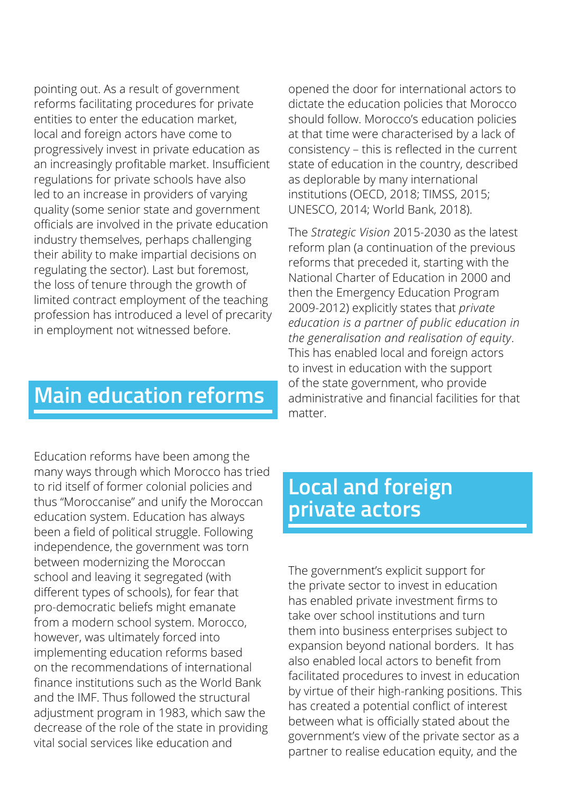pointing out. As a result of government reforms facilitating procedures for private entities to enter the education market, local and foreign actors have come to progressively invest in private education as an increasingly profitable market. Insufficient regulations for private schools have also led to an increase in providers of varying quality (some senior state and government officials are involved in the private education industry themselves, perhaps challenging their ability to make impartial decisions on regulating the sector). Last but foremost, the loss of tenure through the growth of limited contract employment of the teaching profession has introduced a level of precarity in employment not witnessed before.

opened the door for international actors to dictate the education policies that Morocco should follow. Morocco's education policies at that time were characterised by a lack of consistency – this is reflected in the current state of education in the country, described as deplorable by many international institutions (OECD, 2018; TIMSS, 2015; UNESCO, 2014; World Bank, 2018).

The *Strategic Vision* 2015-2030 as the latest reform plan (a continuation of the previous reforms that preceded it, starting with the National Charter of Education in 2000 and then the Emergency Education Program 2009-2012) explicitly states that *private education is a partner of public education in the generalisation and realisation of equity*. This has enabled local and foreign actors to invest in education with the support of the state government, who provide administrative and financial facilities for that matter.

### **Main education reforms**

Education reforms have been among the many ways through which Morocco has tried to rid itself of former colonial policies and thus "Moroccanise" and unify the Moroccan education system. Education has always been a field of political struggle. Following independence, the government was torn between modernizing the Moroccan school and leaving it segregated (with different types of schools), for fear that pro-democratic beliefs might emanate from a modern school system. Morocco, however, was ultimately forced into implementing education reforms based on the recommendations of international finance institutions such as the World Bank and the IMF. Thus followed the structural adjustment program in 1983, which saw the decrease of the role of the state in providing vital social services like education and

# **Local and foreign private actors**

The government's explicit support for the private sector to invest in education has enabled private investment firms to take over school institutions and turn them into business enterprises subject to expansion beyond national borders. It has also enabled local actors to benefit from facilitated procedures to invest in education by virtue of their high-ranking positions. This has created a potential conflict of interest between what is officially stated about the government's view of the private sector as a partner to realise education equity, and the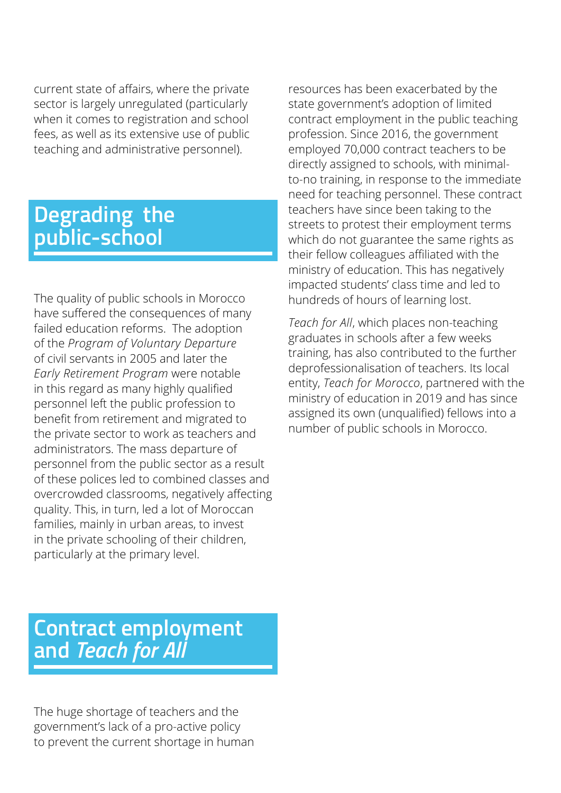current state of affairs, where the private sector is largely unregulated (particularly when it comes to registration and school fees, as well as its extensive use of public teaching and administrative personnel).

# **Degrading the public-school**

The quality of public schools in Morocco have suffered the consequences of many failed education reforms. The adoption of the *Program of Voluntary Departure* of civil servants in 2005 and later the *Early Retirement Program* were notable in this regard as many highly qualified personnel left the public profession to benefit from retirement and migrated to the private sector to work as teachers and administrators. The mass departure of personnel from the public sector as a result of these polices led to combined classes and overcrowded classrooms, negatively affecting quality. This, in turn, led a lot of Moroccan families, mainly in urban areas, to invest in the private schooling of their children, particularly at the primary level.

resources has been exacerbated by the state government's adoption of limited contract employment in the public teaching profession. Since 2016, the government employed 70,000 contract teachers to be directly assigned to schools, with minimalto-no training, in response to the immediate need for teaching personnel. These contract teachers have since been taking to the streets to protest their employment terms which do not guarantee the same rights as their fellow colleagues affiliated with the ministry of education. This has negatively impacted students' class time and led to hundreds of hours of learning lost.

*Teach for All*, which places non-teaching graduates in schools after a few weeks training, has also contributed to the further deprofessionalisation of teachers. Its local entity, *Teach for Morocco*, partnered with the ministry of education in 2019 and has since assigned its own (unqualified) fellows into a number of public schools in Morocco.

### **Contract employment and** *Teach for All*

The huge shortage of teachers and the government's lack of a pro-active policy to prevent the current shortage in human